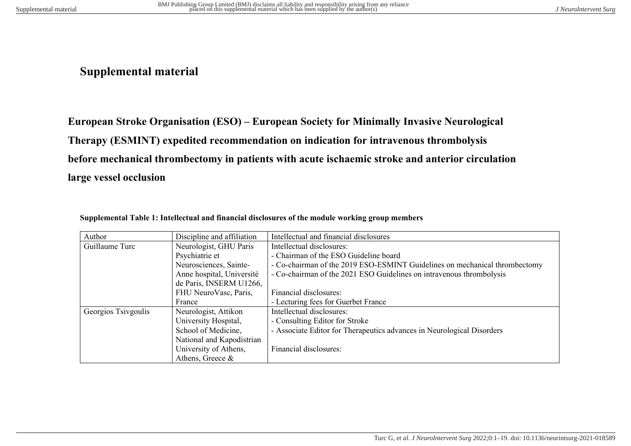## **Supplemental material**

**European Stroke Organisation (ESO) – European Society for Minimally Invasive Neurological Therapy (ESMINT) expedited recommendation on indication for intravenous thrombolysis before mechanical thrombectomy in patients with acute ischaemic stroke and anterior circulation large vessel occlusion**

| Author              | Discipline and affiliation | Intellectual and financial disclosures                                     |
|---------------------|----------------------------|----------------------------------------------------------------------------|
| Guillaume Turc      | Neurologist, GHU Paris     | Intellectual disclosures:                                                  |
|                     | Psychiatrie et             | - Chairman of the ESO Guideline board                                      |
|                     | Neurosciences, Sainte-     | - Co-chairman of the 2019 ESO-ESMINT Guidelines on mechanical thrombectomy |
|                     | Anne hospital, Université  | - Co-chairman of the 2021 ESO Guidelines on intravenous thrombolysis       |
|                     | de Paris, INSERM U1266,    |                                                                            |
|                     | FHU NeuroVasc, Paris,      | Financial disclosures:                                                     |
|                     | France                     | - Lecturing fees for Guerbet France                                        |
| Georgios Tsivgoulis | Neurologist, Attikon       | Intellectual disclosures:                                                  |
|                     | University Hospital,       | - Consulting Editor for Stroke                                             |
|                     | School of Medicine,        | - Associate Editor for Therapeutics advances in Neurological Disorders     |
|                     | National and Kapodistrian  |                                                                            |
|                     | University of Athens,      | Financial disclosures:                                                     |
|                     | Athens, Greece &           |                                                                            |

|  |  |  |  | Supplemental Table 1: Intellectual and financial disclosures of the module working group members |  |
|--|--|--|--|--------------------------------------------------------------------------------------------------|--|
|--|--|--|--|--------------------------------------------------------------------------------------------------|--|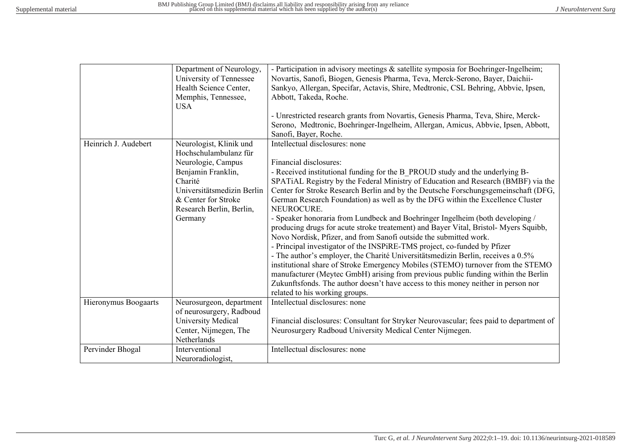|                      | Department of Neurology,<br>University of Tennessee<br>Health Science Center,<br>Memphis, Tennessee, | - Participation in advisory meetings & satellite symposia for Boehringer-Ingelheim;<br>Novartis, Sanofi, Biogen, Genesis Pharma, Teva, Merck-Serono, Bayer, Daichii-<br>Sankyo, Allergan, Specifar, Actavis, Shire, Medtronic, CSL Behring, Abbvie, Ipsen,<br>Abbott, Takeda, Roche. |
|----------------------|------------------------------------------------------------------------------------------------------|--------------------------------------------------------------------------------------------------------------------------------------------------------------------------------------------------------------------------------------------------------------------------------------|
|                      | <b>USA</b>                                                                                           |                                                                                                                                                                                                                                                                                      |
|                      |                                                                                                      | - Unrestricted research grants from Novartis, Genesis Pharma, Teva, Shire, Merck-<br>Serono, Medtronic, Boehringer-Ingelheim, Allergan, Amicus, Abbvie, Ipsen, Abbott,<br>Sanofi, Bayer, Roche.                                                                                      |
| Heinrich J. Audebert | Neurologist, Klinik und                                                                              | Intellectual disclosures: none                                                                                                                                                                                                                                                       |
|                      | Hochschulambulanz für                                                                                |                                                                                                                                                                                                                                                                                      |
|                      | Neurologie, Campus                                                                                   | Financial disclosures:                                                                                                                                                                                                                                                               |
|                      | Benjamin Franklin,                                                                                   | - Received institutional funding for the B PROUD study and the underlying B-                                                                                                                                                                                                         |
|                      | Charité                                                                                              | SPATIAL Registry by the Federal Ministry of Education and Research (BMBF) via the                                                                                                                                                                                                    |
|                      | Universitätsmedizin Berlin                                                                           | Center for Stroke Research Berlin and by the Deutsche Forschungsgemeinschaft (DFG,                                                                                                                                                                                                   |
|                      | & Center for Stroke                                                                                  | German Research Foundation) as well as by the DFG within the Excellence Cluster                                                                                                                                                                                                      |
|                      | Research Berlin, Berlin,                                                                             | NEUROCURE.                                                                                                                                                                                                                                                                           |
|                      | Germany                                                                                              | - Speaker honoraria from Lundbeck and Boehringer Ingelheim (both developing /<br>producing drugs for acute stroke treatement) and Bayer Vital, Bristol-Myers Squibb,<br>Novo Nordisk, Pfizer, and from Sanofi outside the submitted work.                                            |
|                      |                                                                                                      | - Principal investigator of the INSPiRE-TMS project, co-funded by Pfizer                                                                                                                                                                                                             |
|                      |                                                                                                      | - The author's employer, the Charité Universitätsmedizin Berlin, receives a 0.5%                                                                                                                                                                                                     |
|                      |                                                                                                      | institutional share of Stroke Emergency Mobiles (STEMO) turnover from the STEMO                                                                                                                                                                                                      |
|                      |                                                                                                      | manufacturer (Meytec GmbH) arising from previous public funding within the Berlin                                                                                                                                                                                                    |
|                      |                                                                                                      | Zukunftsfonds. The author doesn't have access to this money neither in person nor                                                                                                                                                                                                    |
|                      |                                                                                                      | related to his working groups.                                                                                                                                                                                                                                                       |
| Hieronymus Boogaarts | Neurosurgeon, department                                                                             | Intellectual disclosures: none                                                                                                                                                                                                                                                       |
|                      | of neurosurgery, Radboud                                                                             |                                                                                                                                                                                                                                                                                      |
|                      | University Medical                                                                                   | Financial disclosures: Consultant for Stryker Neurovascular; fees paid to department of                                                                                                                                                                                              |
|                      | Center, Nijmegen, The                                                                                | Neurosurgery Radboud University Medical Center Nijmegen.                                                                                                                                                                                                                             |
|                      | Netherlands                                                                                          |                                                                                                                                                                                                                                                                                      |
| Pervinder Bhogal     | Interventional                                                                                       | Intellectual disclosures: none                                                                                                                                                                                                                                                       |
|                      | Neuroradiologist,                                                                                    |                                                                                                                                                                                                                                                                                      |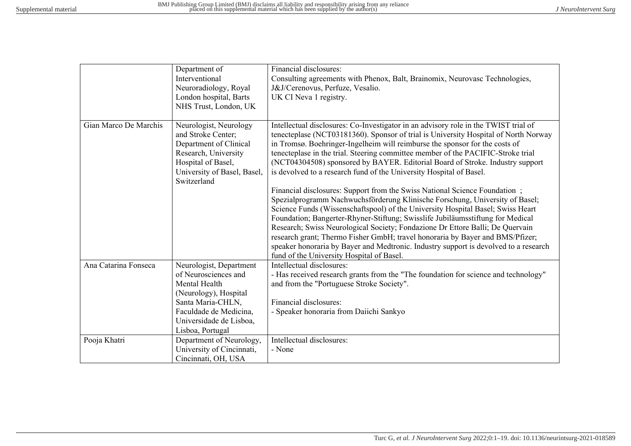|                       | Department of<br>Interventional<br>Neuroradiology, Royal<br>London hospital, Barts<br>NHS Trust, London, UK                                                                             | Financial disclosures:<br>Consulting agreements with Phenox, Balt, Brainomix, Neurovasc Technologies,<br>J&J/Cerenovus, Perfuze, Vesalio.<br>UK CI Neva 1 registry.                                                                                                                                                                                                                                                                                                                                                                                                                                                                                                                                                                                                                                                                                                                                                                                                                                                                                                                                                                             |
|-----------------------|-----------------------------------------------------------------------------------------------------------------------------------------------------------------------------------------|-------------------------------------------------------------------------------------------------------------------------------------------------------------------------------------------------------------------------------------------------------------------------------------------------------------------------------------------------------------------------------------------------------------------------------------------------------------------------------------------------------------------------------------------------------------------------------------------------------------------------------------------------------------------------------------------------------------------------------------------------------------------------------------------------------------------------------------------------------------------------------------------------------------------------------------------------------------------------------------------------------------------------------------------------------------------------------------------------------------------------------------------------|
| Gian Marco De Marchis | Neurologist, Neurology<br>and Stroke Center;<br>Department of Clinical<br>Research, University<br>Hospital of Basel,<br>University of Basel, Basel,<br>Switzerland                      | Intellectual disclosures: Co-Investigator in an advisory role in the TWIST trial of<br>tenecteplase (NCT03181360). Sponsor of trial is University Hospital of North Norway<br>in Tromsø. Boehringer-Ingelheim will reimburse the sponsor for the costs of<br>tenecteplase in the trial. Steering committee member of the PACIFIC-Stroke trial<br>(NCT04304508) sponsored by BAYER. Editorial Board of Stroke. Industry support<br>is devolved to a research fund of the University Hospital of Basel.<br>Financial disclosures: Support from the Swiss National Science Foundation;<br>Spezialprogramm Nachwuchsförderung Klinische Forschung, University of Basel;<br>Science Funds (Wissenschaftspool) of the University Hospital Basel; Swiss Heart<br>Foundation; Bangerter-Rhyner-Stiftung; Swisslife Jubiläumsstiftung for Medical<br>Research; Swiss Neurological Society; Fondazione Dr Ettore Balli; De Quervain<br>research grant; Thermo Fisher GmbH; travel honoraria by Bayer and BMS/Pfizer;<br>speaker honoraria by Bayer and Medtronic. Industry support is devolved to a research<br>fund of the University Hospital of Basel. |
| Ana Catarina Fonseca  | Neurologist, Department<br>of Neurosciences and<br>Mental Health<br>(Neurology), Hospital<br>Santa Maria-CHLN,<br>Faculdade de Medicina,<br>Universidade de Lisboa,<br>Lisboa, Portugal | Intellectual disclosures:<br>- Has received research grants from the "The foundation for science and technology"<br>and from the "Portuguese Stroke Society".<br>Financial disclosures:<br>- Speaker honoraria from Daiichi Sankyo                                                                                                                                                                                                                                                                                                                                                                                                                                                                                                                                                                                                                                                                                                                                                                                                                                                                                                              |
| Pooja Khatri          | Department of Neurology,<br>University of Cincinnati,<br>Cincinnati, OH, USA                                                                                                            | Intellectual disclosures:<br>- None                                                                                                                                                                                                                                                                                                                                                                                                                                                                                                                                                                                                                                                                                                                                                                                                                                                                                                                                                                                                                                                                                                             |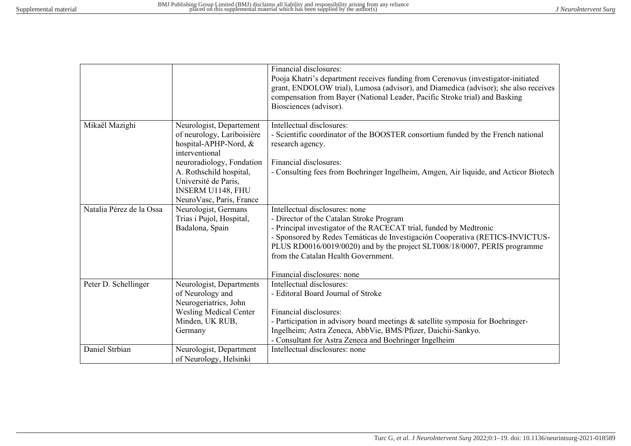|                          |                                                                                                   | Financial disclosures:<br>Pooja Khatri's department receives funding from Cerenovus (investigator-initiated<br>grant, ENDOLOW trial), Lumosa (advisor), and Diamedica (advisor); she also receives<br>compensation from Bayer (National Leader, Pacific Stroke trial) and Basking<br>Biosciences (advisor). |
|--------------------------|---------------------------------------------------------------------------------------------------|-------------------------------------------------------------------------------------------------------------------------------------------------------------------------------------------------------------------------------------------------------------------------------------------------------------|
| Mikaël Mazighi           | Neurologist, Departement<br>of neurology, Lariboisière<br>hospital-APHP-Nord, &<br>interventional | Intellectual disclosures:<br>- Scientific coordinator of the BOOSTER consortium funded by the French national<br>research agency.                                                                                                                                                                           |
|                          | neuroradiology, Fondation                                                                         | Financial disclosures:                                                                                                                                                                                                                                                                                      |
|                          | A. Rothschild hospital,                                                                           | - Consulting fees from Boehringer Ingelheim, Amgen, Air liquide, and Acticor Biotech                                                                                                                                                                                                                        |
|                          | Université de Paris,                                                                              |                                                                                                                                                                                                                                                                                                             |
|                          | INSERM U1148, FHU                                                                                 |                                                                                                                                                                                                                                                                                                             |
| Natalia Pérez de la Ossa | NeuroVasc, Paris, France                                                                          |                                                                                                                                                                                                                                                                                                             |
|                          | Neurologist, Germans                                                                              | Intellectual disclosures: none                                                                                                                                                                                                                                                                              |
|                          | Trias i Pujol, Hospital,<br>Badalona, Spain                                                       | - Director of the Catalan Stroke Program<br>- Principal investigator of the RACECAT trial, funded by Medtronic                                                                                                                                                                                              |
|                          |                                                                                                   | - Sponsored by Redes Temáticas de Investigación Cooperativa (RETICS-INVICTUS-                                                                                                                                                                                                                               |
|                          |                                                                                                   | PLUS RD0016/0019/0020) and by the project SLT008/18/0007, PERIS programme                                                                                                                                                                                                                                   |
|                          |                                                                                                   | from the Catalan Health Government.                                                                                                                                                                                                                                                                         |
|                          |                                                                                                   |                                                                                                                                                                                                                                                                                                             |
|                          |                                                                                                   | Financial disclosures: none                                                                                                                                                                                                                                                                                 |
| Peter D. Schellinger     | Neurologist, Departments                                                                          | Intellectual disclosures:                                                                                                                                                                                                                                                                                   |
|                          | of Neurology and                                                                                  | - Editoral Board Journal of Stroke                                                                                                                                                                                                                                                                          |
|                          | Neurogeriatrics, John                                                                             |                                                                                                                                                                                                                                                                                                             |
|                          | <b>Wesling Medical Center</b>                                                                     | Financial disclosures:                                                                                                                                                                                                                                                                                      |
|                          | Minden, UK RUB,                                                                                   | - Participation in advisory board meetings & satellite symposia for Boehringer-                                                                                                                                                                                                                             |
|                          | Germany                                                                                           | Ingelheim; Astra Zeneca, AbbVie, BMS/Pfizer, Daichii-Sankyo.                                                                                                                                                                                                                                                |
|                          |                                                                                                   | - Consultant for Astra Zeneca and Boehringer Ingelheim                                                                                                                                                                                                                                                      |
| Daniel Strbian           | Neurologist, Department                                                                           | Intellectual disclosures: none                                                                                                                                                                                                                                                                              |
|                          | of Neurology, Helsinki                                                                            |                                                                                                                                                                                                                                                                                                             |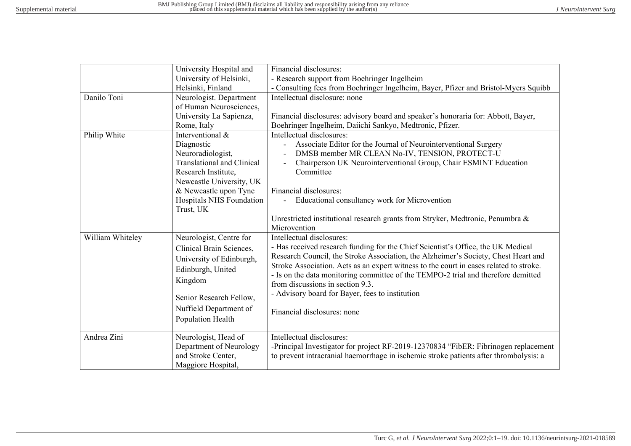|                  | University Hospital and           | Financial disclosures:                                                                 |  |  |
|------------------|-----------------------------------|----------------------------------------------------------------------------------------|--|--|
|                  | University of Helsinki,           | - Research support from Boehringer Ingelheim                                           |  |  |
|                  | Helsinki, Finland                 | - Consulting fees from Boehringer Ingelheim, Bayer, Pfizer and Bristol-Myers Squibb    |  |  |
| Danilo Toni      | Neurologist. Department           | Intellectual disclosure: none                                                          |  |  |
|                  | of Human Neurosciences,           |                                                                                        |  |  |
|                  | University La Sapienza,           | Financial disclosures: advisory board and speaker's honoraria for: Abbott, Bayer,      |  |  |
|                  | Rome, Italy                       | Boehringer Ingelheim, Daiichi Sankyo, Medtronic, Pfizer.                               |  |  |
| Philip White     | Interventional &                  | Intellectual disclosures:                                                              |  |  |
|                  | Diagnostic                        | Associate Editor for the Journal of Neurointerventional Surgery                        |  |  |
|                  | Neuroradiologist,                 | DMSB member MR CLEAN No-IV, TENSION, PROTECT-U                                         |  |  |
|                  | <b>Translational and Clinical</b> | Chairperson UK Neurointerventional Group, Chair ESMINT Education                       |  |  |
|                  | Research Institute,               | Committee                                                                              |  |  |
|                  | Newcastle University, UK          |                                                                                        |  |  |
|                  | & Newcastle upon Tyne             | Financial disclosures:                                                                 |  |  |
|                  | Hospitals NHS Foundation          | Educational consultancy work for Microvention                                          |  |  |
|                  | Trust, UK                         |                                                                                        |  |  |
|                  |                                   | Unrestricted institutional research grants from Stryker, Medtronic, Penumbra &         |  |  |
|                  |                                   | Microvention                                                                           |  |  |
| William Whiteley | Neurologist, Centre for           | Intellectual disclosures:                                                              |  |  |
|                  | Clinical Brain Sciences,          | - Has received research funding for the Chief Scientist's Office, the UK Medical       |  |  |
|                  | University of Edinburgh,          | Research Council, the Stroke Association, the Alzheimer's Society, Chest Heart and     |  |  |
|                  | Edinburgh, United                 | Stroke Association. Acts as an expert witness to the court in cases related to stroke. |  |  |
|                  |                                   | - Is on the data monitoring committee of the TEMPO-2 trial and therefore demitted      |  |  |
|                  | Kingdom                           | from discussions in section 9.3.                                                       |  |  |
|                  | Senior Research Fellow,           | - Advisory board for Bayer, fees to institution                                        |  |  |
|                  | Nuffield Department of            |                                                                                        |  |  |
|                  |                                   | Financial disclosures: none                                                            |  |  |
|                  | Population Health                 |                                                                                        |  |  |
| Andrea Zini      | Neurologist, Head of              | Intellectual disclosures:                                                              |  |  |
|                  | Department of Neurology           | -Principal Investigator for project RF-2019-12370834 "FibER: Fibrinogen replacement    |  |  |
|                  | and Stroke Center,                | to prevent intracranial haemorrhage in ischemic stroke patients after thrombolysis: a  |  |  |
|                  | Maggiore Hospital,                |                                                                                        |  |  |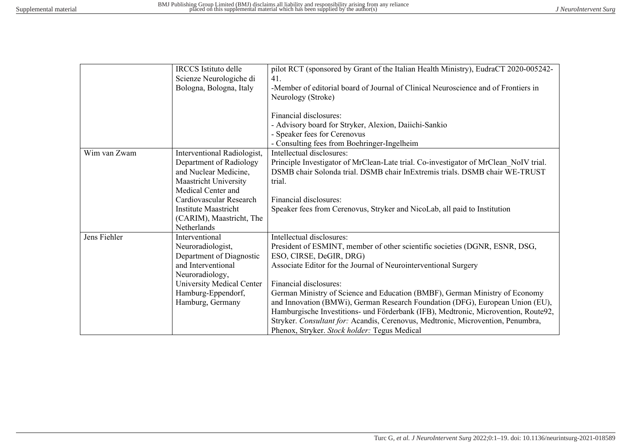|              | <b>IRCCS</b> Istituto delle<br>Scienze Neurologiche di                                                                         | pilot RCT (sponsored by Grant of the Italian Health Ministry), EudraCT 2020-005242-<br>41.                                                                                                                                                                                                                                                                                                                      |
|--------------|--------------------------------------------------------------------------------------------------------------------------------|-----------------------------------------------------------------------------------------------------------------------------------------------------------------------------------------------------------------------------------------------------------------------------------------------------------------------------------------------------------------------------------------------------------------|
|              | Bologna, Bologna, Italy                                                                                                        | -Member of editorial board of Journal of Clinical Neuroscience and of Frontiers in<br>Neurology (Stroke)                                                                                                                                                                                                                                                                                                        |
|              |                                                                                                                                | Financial disclosures:<br>- Advisory board for Stryker, Alexion, Daiichi-Sankio<br>- Speaker fees for Cerenovus<br>- Consulting fees from Boehringer-Ingelheim                                                                                                                                                                                                                                                  |
| Wim van Zwam | Interventional Radiologist,<br>Department of Radiology<br>and Nuclear Medicine,<br>Maastricht University<br>Medical Center and | Intellectual disclosures:<br>Principle Investigator of MrClean-Late trial. Co-investigator of MrClean NoIV trial.<br>DSMB chair Solonda trial. DSMB chair InExtremis trials. DSMB chair WE-TRUST<br>trial.                                                                                                                                                                                                      |
|              | Cardiovascular Research<br>Institute Maastricht<br>(CARIM), Maastricht, The<br>Netherlands                                     | Financial disclosures:<br>Speaker fees from Cerenovus, Stryker and NicoLab, all paid to Institution                                                                                                                                                                                                                                                                                                             |
| Jens Fiehler | Interventional<br>Neuroradiologist,<br>Department of Diagnostic<br>and Interventional<br>Neuroradiology,                       | Intellectual disclosures:<br>President of ESMINT, member of other scientific societies (DGNR, ESNR, DSG,<br>ESO, CIRSE, DeGIR, DRG)<br>Associate Editor for the Journal of Neurointerventional Surgery                                                                                                                                                                                                          |
|              | <b>University Medical Center</b><br>Hamburg-Eppendorf,<br>Hamburg, Germany                                                     | Financial disclosures:<br>German Ministry of Science and Education (BMBF), German Ministry of Economy<br>and Innovation (BMWi), German Research Foundation (DFG), European Union (EU),<br>Hamburgische Investitions- und Förderbank (IFB), Medtronic, Microvention, Route92,<br>Stryker. Consultant for: Acandis, Cerenovus, Medtronic, Microvention, Penumbra,<br>Phenox, Stryker. Stock holder: Tegus Medical |